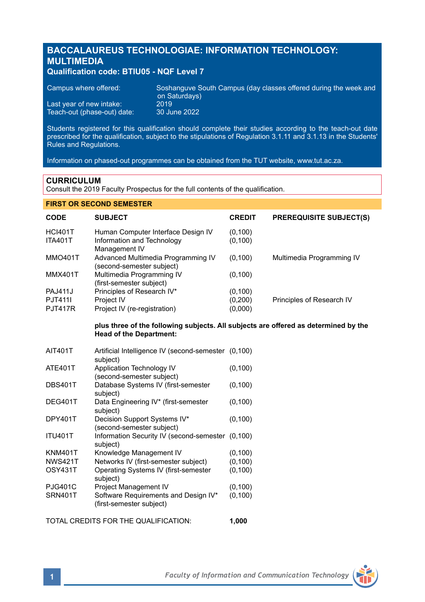# **BACCALAUREUS TECHNOLOGIAE: INFORMATION TECHNOLOGY: MULTIMEDIA**

## **Qualification code: BTIU05 - NQF Level 7**

| Campus where offered:       | Soshanguve South Campus (day classes offered during the week and<br>on Saturdays) |
|-----------------------------|-----------------------------------------------------------------------------------|
| Last year of new intake:    | 2019'                                                                             |
| Teach-out (phase-out) date: | 30 June 2022                                                                      |

Students registered for this qualification should complete their studies according to the teach-out date prescribed for the qualification, subject to the stipulations of Regulation 3.1.11 and 3.1.13 in the Students' Rules and Regulations.

Information on phased-out programmes can be obtained from the TUT website, www.tut.ac.za.

## **CURRICULUM**

Consult the 2019 Faculty Prospectus for the full contents of the qualification.

## **FIRST OR SECOND SEMESTER**

| <b>CODE</b>    | <b>SUBJECT</b>                     | <b>CREDIT</b> | <b>PREREQUISITE SUBJECT(S)</b> |
|----------------|------------------------------------|---------------|--------------------------------|
| <b>HCI401T</b> | Human Computer Interface Design IV | (0, 100)      |                                |
| <b>ITA401T</b> | Information and Technology         | (0, 100)      |                                |
|                | Management IV                      |               |                                |
| <b>MMO401T</b> | Advanced Multimedia Programming IV | (0, 100)      | Multimedia Programming IV      |
|                | (second-semester subject)          |               |                                |
| <b>MMX401T</b> | Multimedia Programming IV          | (0, 100)      |                                |
|                | (first-semester subject)           |               |                                |
| <b>PAJ411J</b> | Principles of Research IV*         | (0, 100)      |                                |
| PJT411         | Project IV                         | (0,200)       | Principles of Research IV      |
| <b>PJT417R</b> | Project IV (re-registration)       | (0,000)       |                                |

## **plus three of the following subjects. All subjects are offered as determined by the Head of the Department:**

| <b>AIT401T</b> | Artificial Intelligence IV (second-semester (0,100)<br>subject)  |          |
|----------------|------------------------------------------------------------------|----------|
| <b>ATE401T</b> | Application Technology IV<br>(second-semester subject)           | (0, 100) |
| <b>DBS401T</b> | Database Systems IV (first-semester<br>subject)                  | (0, 100) |
| DEG401T        | Data Engineering IV* (first-semester<br>subject)                 | (0, 100) |
| DPY401T        | Decision Support Systems IV*<br>(second-semester subject)        | (0, 100) |
| <b>ITU401T</b> | Information Security IV (second-semester (0,100)<br>subject)     |          |
| <b>KNM401T</b> | Knowledge Management IV                                          | (0, 100) |
| <b>NWS421T</b> | Networks IV (first-semester subject)                             | (0, 100) |
| OSY431T        | Operating Systems IV (first-semester<br>subject)                 | (0, 100) |
| <b>PJG401C</b> | Project Management IV                                            | (0, 100) |
| <b>SRN401T</b> | Software Requirements and Design IV*<br>(first-semester subject) | (0, 100) |

TOTAL CREDITS FOR THE QUALIFICATION: **1,000**

**1** *Faculty of Information and Communication Technology*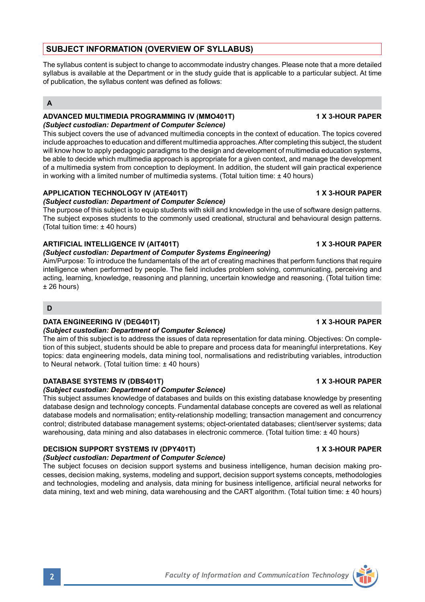## **SUBJECT INFORMATION (OVERVIEW OF SYLLABUS)**

The syllabus content is subject to change to accommodate industry changes. Please note that a more detailed syllabus is available at the Department or in the study quide that is applicable to a particular subject. At time of publication, the syllabus content was defined as follows:

## **A**

### **ADVANCED MULTIMEDIA PROGRAMMING IV (MMO401T) 1 X 3-HOUR PAPER**  *(Subject custodian: Department of Computer Science)*

This subject covers the use of advanced multimedia concepts in the context of education. The topics covered include approaches to education and different multimedia approaches. After completing this subject, the student will know how to apply pedagogic paradigms to the design and development of multimedia education systems, be able to decide which multimedia approach is appropriate for a given context, and manage the development of a multimedia system from conception to deployment. In addition, the student will gain practical experience in working with a limited number of multimedia systems. (Total tuition time: ± 40 hours)

## **APPLICATION TECHNOLOGY IV (ATE401T) 1 X 3-HOUR PAPER**

## *(Subject custodian: Department of Computer Science)*

The purpose of this subject is to equip students with skill and knowledge in the use of software design patterns. The subject exposes students to the commonly used creational, structural and behavioural design patterns. (Total tuition time: ± 40 hours)

## **ARTIFICIAL INTELLIGENCE IV (AIT401T) 1 X 3-HOUR PAPER**

## *(Subject custodian: Department of Computer Systems Engineering)*

Aim/Purpose: To introduce the fundamentals of the art of creating machines that perform functions that require intelligence when performed by people. The field includes problem solving, communicating, perceiving and acting, learning, knowledge, reasoning and planning, uncertain knowledge and reasoning. (Total tuition time: ± 26 hours)

## **D**

## **DATA ENGINEERING IV (DEG401T) 1 X 3-HOUR PAPER**

## *(Subject custodian: Department of Computer Science)*

The aim of this subject is to address the issues of data representation for data mining. Objectives: On completion of this subject, students should be able to prepare and process data for meaningful interpretations. Key topics: data engineering models, data mining tool, normalisations and redistributing variables, introduction to Neural network. (Total tuition time: ± 40 hours)

## **DATABASE SYSTEMS IV (DBS401T) 1 X 3-HOUR PAPER**

## *(Subject custodian: Department of Computer Science)*

This subject assumes knowledge of databases and builds on this existing database knowledge by presenting database design and technology concepts. Fundamental database concepts are covered as well as relational database models and normalisation; entity-relationship modelling; transaction management and concurrency control; distributed database management systems; object-orientated databases; client/server systems; data warehousing, data mining and also databases in electronic commerce. (Total tuition time: ± 40 hours)

## **DECISION SUPPORT SYSTEMS IV (DPY401T) 1 X 3-HOUR PAPER**

*(Subject custodian: Department of Computer Science)* The subject focuses on decision support systems and business intelligence, human decision making processes, decision making, systems, modeling and support, decision support systems concepts, methodologies and technologies, modeling and analysis, data mining for business intelligence, artificial neural networks for data mining, text and web mining, data warehousing and the CART algorithm. (Total tuition time: ± 40 hours)

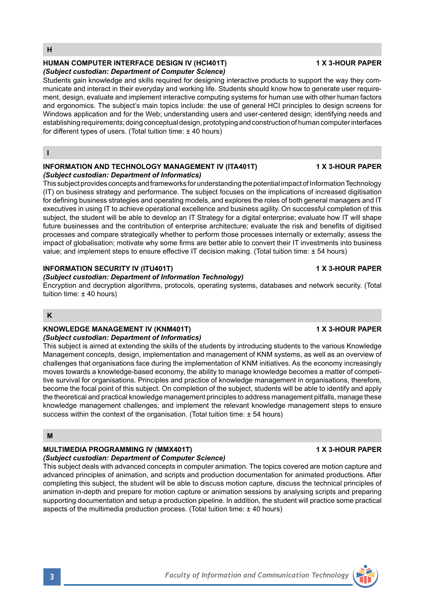# **HUMAN COMPUTER INTERFACE DESIGN IV (HCI401T) 1 X 3-HOUR PAPER**

## *(Subject custodian: Department of Computer Science)*

Students gain knowledge and skills required for designing interactive products to support the way they communicate and interact in their everyday and working life. Students should know how to generate user requirement, design, evaluate and implement interactive computing systems for human use with other human factors and ergonomics. The subject's main topics include: the use of general HCI principles to design screens for Windows application and for the Web: understanding users and user-centered design; identifying needs and establishing requirements; doing conceptual design, prototyping and construction of human computer interfaces for different types of users. (Total tuition time: ± 40 hours)

**I**

### **INFORMATION AND TECHNOLOGY MANAGEMENT IV (ITA401T) 1 X 3-HOUR PAPER** *(Subject custodian: Department of Informatics)*

This subject provides concepts and frameworks for understanding the potential impact of Information Technology (IT) on business strategy and performance. The subject focuses on the implications of increased digitisation for defining business strategies and operating models, and explores the roles of both general managers and IT executives in using IT to achieve operational excellence and business agility. On successful completion of this subject, the student will be able to develop an IT Strategy for a digital enterprise; evaluate how IT will shape future businesses and the contribution of enterprise architecture; evaluate the risk and benefits of digitised processes and compare strategically whether to perform those processes internally or externally; assess the impact of globalisation; motivate why some firms are better able to convert their IT investments into business value; and implement steps to ensure effective IT decision making. (Total tuition time: ± 54 hours)

## **INFORMATION SECURITY IV (ITU401T) 1 X 3-HOUR PAPER**

## *(Subject custodian: Department of Information Technology)*

Encryption and decryption algorithms, protocols, operating systems, databases and network security. (Total tuition time: ± 40 hours)

## **K**

## **KNOWLEDGE MANAGEMENT IV (KNM401T) 1 X 3-HOUR PAPER**

## *(Subject custodian: Department of Informatics)*

This subject is aimed at extending the skills of the students by introducing students to the various Knowledge Management concepts, design, implementation and management of KNM systems, as well as an overview of challenges that organisations face during the implementation of KNM initiatives. As the economy increasingly moves towards a knowledge-based economy, the ability to manage knowledge becomes a matter of competitive survival for organisations. Principles and practice of knowledge management in organisations, therefore, become the focal point of this subject. On completion of the subject, students will be able to identify and apply the theoretical and practical knowledge management principles to address management pitfalls, manage these knowledge management challenges; and implement the relevant knowledge management steps to ensure success within the context of the organisation. (Total tuition time:  $\pm$  54 hours)

## **M**

## **MULTIMEDIA PROGRAMMING IV (MMX401T) 1 X 3-HOUR PAPER**

*(Subject custodian: Department of Computer Science)* This subject deals with advanced concepts in computer animation. The topics covered are motion capture and advanced principles of animation, and scripts and production documentation for animated productions. After completing this subject, the student will be able to discuss motion capture, discuss the technical principles of animation in-depth and prepare for motion capture or animation sessions by analysing scripts and preparing supporting documentation and setup a production pipeline. In addition, the student will practice some practical aspects of the multimedia production process. (Total tuition time: ± 40 hours)